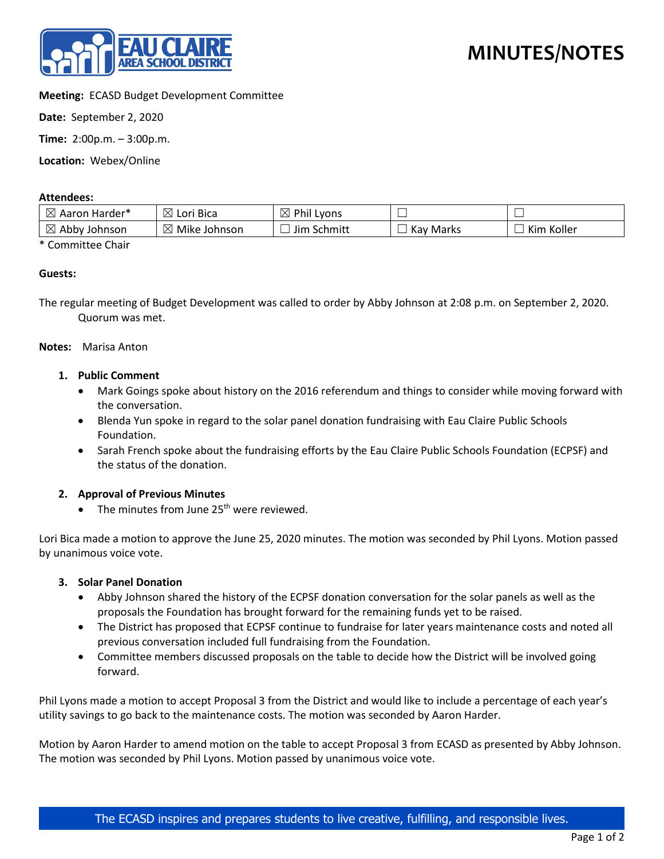

# **Meeting:** ECASD Budget Development Committee

**Date:** September 2, 2020

**Time:** 2:00p.m. – 3:00p.m.

**Location:** Webex/Online

### **Attendees:**

| $\boxtimes$<br>. Aaron Harder*              | $\boxtimes$<br>Lori Bica       | $\boxtimes$<br>Phil I<br>Lyons | _            |               |
|---------------------------------------------|--------------------------------|--------------------------------|--------------|---------------|
| $\boxtimes$<br>Abby<br><sup>,</sup> Johnson | $\boxtimes$<br>Mike<br>Johnson | Schmitt<br>Jim                 | Marks<br>Kav | Koller<br>Kim |

\* Committee Chair

### **Guests:**

The regular meeting of Budget Development was called to order by Abby Johnson at 2:08 p.m. on September 2, 2020. Quorum was met.

### **Notes:** Marisa Anton

### **1. Public Comment**

- Mark Goings spoke about history on the 2016 referendum and things to consider while moving forward with the conversation.
- Blenda Yun spoke in regard to the solar panel donation fundraising with Eau Claire Public Schools Foundation.
- Sarah French spoke about the fundraising efforts by the Eau Claire Public Schools Foundation (ECPSF) and the status of the donation.

# **2. Approval of Previous Minutes**

• The minutes from June  $25<sup>th</sup>$  were reviewed.

Lori Bica made a motion to approve the June 25, 2020 minutes. The motion was seconded by Phil Lyons. Motion passed by unanimous voice vote.

### **3. Solar Panel Donation**

- Abby Johnson shared the history of the ECPSF donation conversation for the solar panels as well as the proposals the Foundation has brought forward for the remaining funds yet to be raised.
- The District has proposed that ECPSF continue to fundraise for later years maintenance costs and noted all previous conversation included full fundraising from the Foundation.
- Committee members discussed proposals on the table to decide how the District will be involved going forward.

Phil Lyons made a motion to accept Proposal 3 from the District and would like to include a percentage of each year's utility savings to go back to the maintenance costs. The motion was seconded by Aaron Harder.

Motion by Aaron Harder to amend motion on the table to accept Proposal 3 from ECASD as presented by Abby Johnson. The motion was seconded by Phil Lyons. Motion passed by unanimous voice vote.